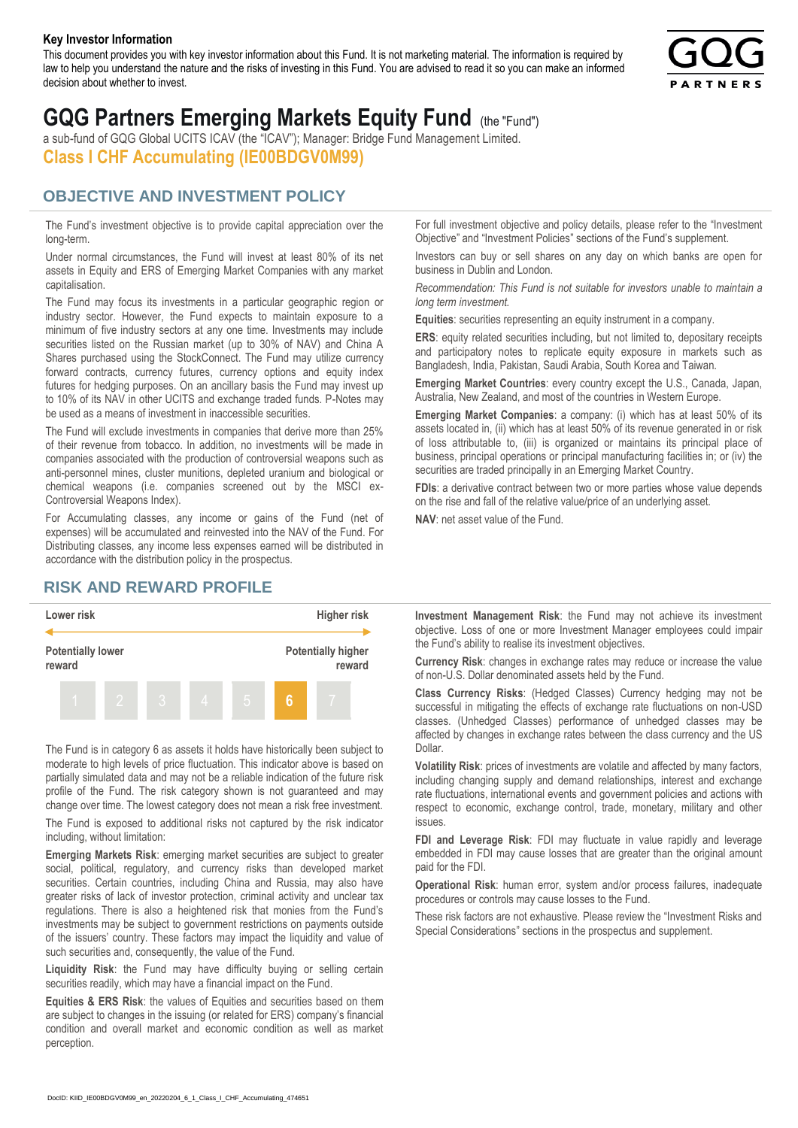#### **Key Investor Information**

This document provides you with key investor information about this Fund. It is not marketing material. The information is required by law to help you understand the nature and the risks of investing in this Fund. You are advised to read it so you can make an informed decision about whether to invest.



# **GQG Partners Emerging Markets Equity Fund** (the "Fund")

a sub-fund of GQG Global UCITS ICAV (the "ICAV"); Manager: Bridge Fund Management Limited. **Class I CHF Accumulating (IE00BDGV0M99)**

### **OBJECTIVE AND INVESTMENT POLICY**

The Fund's investment objective is to provide capital appreciation over the long-term.

Under normal circumstances, the Fund will invest at least 80% of its net assets in Equity and ERS of Emerging Market Companies with any market capitalisation.

The Fund may focus its investments in a particular geographic region or industry sector. However, the Fund expects to maintain exposure to a minimum of five industry sectors at any one time. Investments may include securities listed on the Russian market (up to 30% of NAV) and China A Shares purchased using the StockConnect. The Fund may utilize currency forward contracts, currency futures, currency options and equity index futures for hedging purposes. On an ancillary basis the Fund may invest up to 10% of its NAV in other UCITS and exchange traded funds. P-Notes may be used as a means of investment in inaccessible securities.

The Fund will exclude investments in companies that derive more than 25% of their revenue from tobacco. In addition, no investments will be made in companies associated with the production of controversial weapons such as anti-personnel mines, cluster munitions, depleted uranium and biological or chemical weapons (i.e. companies screened out by the MSCI ex-Controversial Weapons Index).

For Accumulating classes, any income or gains of the Fund (net of expenses) will be accumulated and reinvested into the NAV of the Fund. For Distributing classes, any income less expenses earned will be distributed in accordance with the distribution policy in the prospectus.

## **RISK AND REWARD PROFILE**



The Fund is in category 6 as assets it holds have historically been subject to moderate to high levels of price fluctuation. This indicator above is based on partially simulated data and may not be a reliable indication of the future risk profile of the Fund. The risk category shown is not guaranteed and may change over time. The lowest category does not mean a risk free investment.

The Fund is exposed to additional risks not captured by the risk indicator including, without limitation:

**Emerging Markets Risk**: emerging market securities are subject to greater social, political, regulatory, and currency risks than developed market securities. Certain countries, including China and Russia, may also have greater risks of lack of investor protection, criminal activity and unclear tax regulations. There is also a heightened risk that monies from the Fund's investments may be subject to government restrictions on payments outside of the issuers' country. These factors may impact the liquidity and value of such securities and, consequently, the value of the Fund.

**Liquidity Risk**: the Fund may have difficulty buying or selling certain securities readily, which may have a financial impact on the Fund.

**Equities & ERS Risk**: the values of Equities and securities based on them are subject to changes in the issuing (or related for ERS) company's financial condition and overall market and economic condition as well as market perception.

For full investment objective and policy details, please refer to the "Investment Objective" and "Investment Policies" sections of the Fund's supplement.

Investors can buy or sell shares on any day on which banks are open for business in Dublin and London.

*Recommendation: This Fund is not suitable for investors unable to maintain a long term investment.*

**Equities**: securities representing an equity instrument in a company.

**ERS:** equity related securities including, but not limited to, depositary receipts and participatory notes to replicate equity exposure in markets such as Bangladesh, India, Pakistan, Saudi Arabia, South Korea and Taiwan.

**Emerging Market Countries**: every country except the U.S., Canada, Japan, Australia, New Zealand, and most of the countries in Western Europe.

**Emerging Market Companies**: a company: (i) which has at least 50% of its assets located in, (ii) which has at least 50% of its revenue generated in or risk of loss attributable to, (iii) is organized or maintains its principal place of business, principal operations or principal manufacturing facilities in; or (iv) the securities are traded principally in an Emerging Market Country.

**FDIs**: a derivative contract between two or more parties whose value depends on the rise and fall of the relative value/price of an underlying asset.

**NAV**: net asset value of the Fund.

**Investment Management Risk**: the Fund may not achieve its investment objective. Loss of one or more Investment Manager employees could impair the Fund's ability to realise its investment objectives.

**Currency Risk**: changes in exchange rates may reduce or increase the value of non-U.S. Dollar denominated assets held by the Fund.

**Class Currency Risks**: (Hedged Classes) Currency hedging may not be successful in mitigating the effects of exchange rate fluctuations on non-USD classes. (Unhedged Classes) performance of unhedged classes may be affected by changes in exchange rates between the class currency and the US Dollar.

**Volatility Risk**: prices of investments are volatile and affected by many factors, including changing supply and demand relationships, interest and exchange rate fluctuations, international events and government policies and actions with respect to economic, exchange control, trade, monetary, military and other issues.

**FDI and Leverage Risk**: FDI may fluctuate in value rapidly and leverage embedded in FDI may cause losses that are greater than the original amount paid for the FDI.

**Operational Risk**: human error, system and/or process failures, inadequate procedures or controls may cause losses to the Fund.

These risk factors are not exhaustive. Please review the "Investment Risks and Special Considerations" sections in the prospectus and supplement.